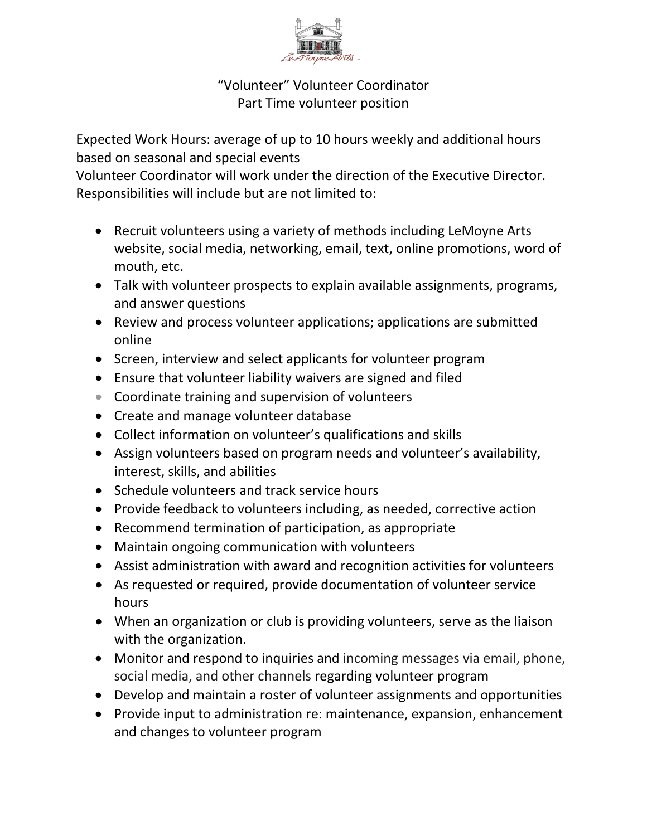

"Volunteer" Volunteer Coordinator Part Time volunteer position

Expected Work Hours: average of up to 10 hours weekly and additional hours based on seasonal and special events

Volunteer Coordinator will work under the direction of the Executive Director. Responsibilities will include but are not limited to:

- Recruit volunteers using a variety of methods including LeMoyne Arts website, social media, networking, email, text, online promotions, word of mouth, etc.
- Talk with volunteer prospects to explain available assignments, programs, and answer questions
- Review and process volunteer applications; applications are submitted online
- Screen, interview and select applicants for volunteer program
- Ensure that volunteer liability waivers are signed and filed
- Coordinate training and supervision of volunteers
- Create and manage volunteer database
- Collect information on volunteer's qualifications and skills
- Assign volunteers based on program needs and volunteer's availability, interest, skills, and abilities
- Schedule volunteers and track service hours
- Provide feedback to volunteers including, as needed, corrective action
- Recommend termination of participation, as appropriate
- Maintain ongoing communication with volunteers
- Assist administration with award and recognition activities for volunteers
- As requested or required, provide documentation of volunteer service hours
- When an organization or club is providing volunteers, serve as the liaison with the organization.
- Monitor and respond to inquiries and incoming messages via email, phone, social media, and other channels regarding volunteer program
- Develop and maintain a roster of volunteer assignments and opportunities
- Provide input to administration re: maintenance, expansion, enhancement and changes to volunteer program